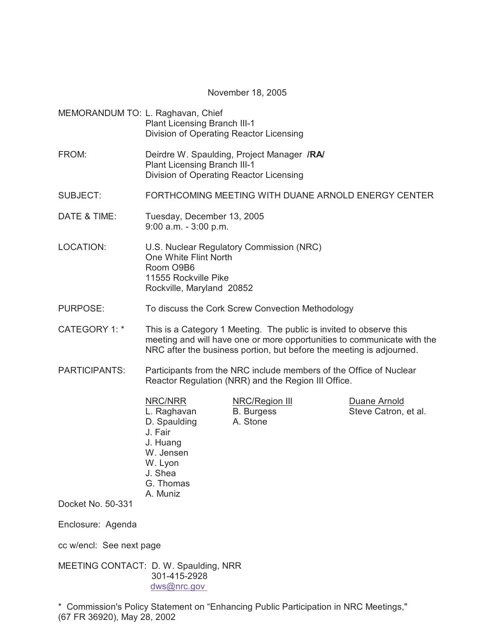November 18, 2005

| MEMORANDUM TO: L. Raghavan, Chief | Plant Licensing Branch III-1<br>Division of Operating Reactor Licensing                                                                                                                                                |                                                 |                                      |  |  |
|-----------------------------------|------------------------------------------------------------------------------------------------------------------------------------------------------------------------------------------------------------------------|-------------------------------------------------|--------------------------------------|--|--|
| FROM:                             | Deirdre W. Spaulding, Project Manager /RA/<br>Plant Licensing Branch III-1<br>Division of Operating Reactor Licensing                                                                                                  |                                                 |                                      |  |  |
| SUBJECT:                          | FORTHCOMING MEETING WITH DUANE ARNOLD ENERGY CENTER                                                                                                                                                                    |                                                 |                                      |  |  |
| DATE & TIME:                      | Tuesday, December 13, 2005<br>$9:00$ a.m. $-3:00$ p.m.                                                                                                                                                                 |                                                 |                                      |  |  |
| <b>LOCATION:</b>                  | U.S. Nuclear Regulatory Commission (NRC)<br>One White Flint North<br>Room O9B6<br>11555 Rockville Pike<br>Rockville, Maryland 20852                                                                                    |                                                 |                                      |  |  |
| <b>PURPOSE:</b>                   | To discuss the Cork Screw Convection Methodology                                                                                                                                                                       |                                                 |                                      |  |  |
| CATEGORY 1: *                     | This is a Category 1 Meeting. The public is invited to observe this<br>meeting and will have one or more opportunities to communicate with the<br>NRC after the business portion, but before the meeting is adjourned. |                                                 |                                      |  |  |
| <b>PARTICIPANTS:</b>              | Participants from the NRC include members of the Office of Nuclear<br>Reactor Regulation (NRR) and the Region III Office.                                                                                              |                                                 |                                      |  |  |
|                                   | NRC/NRR<br>L. Raghavan<br>D. Spaulding<br>J. Fair<br>J. Huang<br>W. Jensen<br>W. Lyon<br>J. Shea<br>G. Thomas<br>A. Muniz                                                                                              | NRC/Region III<br><b>B.</b> Burgess<br>A. Stone | Duane Arnold<br>Steve Catron, et al. |  |  |
| Docket No. 50-331                 |                                                                                                                                                                                                                        |                                                 |                                      |  |  |
| Enclosure: Agenda                 |                                                                                                                                                                                                                        |                                                 |                                      |  |  |
| cc w/encl: See next page          |                                                                                                                                                                                                                        |                                                 |                                      |  |  |

MEETING CONTACT: D. W. Spaulding, NRR 301-415-2928 dws@nrc.gov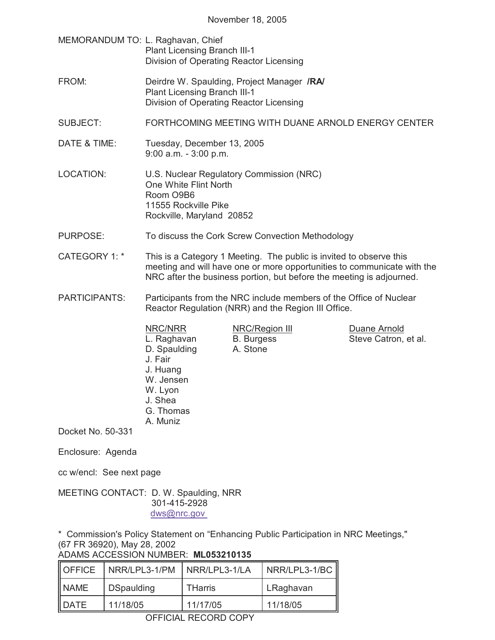- MEMORANDUM TO: L. Raghavan, Chief Plant Licensing Branch III-1 Division of Operating Reactor Licensing
- FROM: Deirdre W. Spaulding, Project Manager **/RA/** Plant Licensing Branch III-1 Division of Operating Reactor Licensing
- SUBJECT: FORTHCOMING MEETING WITH DUANE ARNOLD ENERGY CENTER
- DATE & TIME: Tuesday, December 13, 2005 9:00 a.m. - 3:00 p.m.
- LOCATION: U.S. Nuclear Regulatory Commission (NRC) One White Flint North Room O9B6 11555 Rockville Pike Rockville, Maryland 20852
- PURPOSE: To discuss the Cork Screw Convection Methodology
- CATEGORY 1: \* This is a Category 1 Meeting. The public is invited to observe this meeting and will have one or more opportunities to communicate with the NRC after the business portion, but before the meeting is adjourned.
- PARTICIPANTS: Participants from the NRC include members of the Office of Nuclear Reactor Regulation (NRR) and the Region III Office.
	- D. Spaulding A. Stone J. Fair J. Huang W. Jensen W. Lyon J. Shea G. Thomas A. Muniz

NRC/NRR NRC/Region III Duane Arnold

L. Raghavan B. Burgess Steve Catron, et al.

Docket No. 50-331

- Enclosure: Agenda
- cc w/encl: See next page

MEETING CONTACT: D. W. Spaulding, NRR 301-415-2928 dws@nrc.gov

\* Commission's Policy Statement on "Enhancing Public Participation in NRC Meetings," (67 FR 36920), May 28, 2002

| ADAMS ACCESSION NUMBER: ML053210135 |  |
|-------------------------------------|--|
|                                     |  |

| OFFICE      | NRR/LPL3-1/PM     | INRR/LPL3-1/LA | NRR/LPL3-1/BC |
|-------------|-------------------|----------------|---------------|
| <b>NAME</b> | <b>DSpaulding</b> | <b>THarris</b> | LRaghavan     |
| <b>DATE</b> | 11/18/05          | 11/17/05       | 11/18/05      |

OFFICIAL RECORD COPY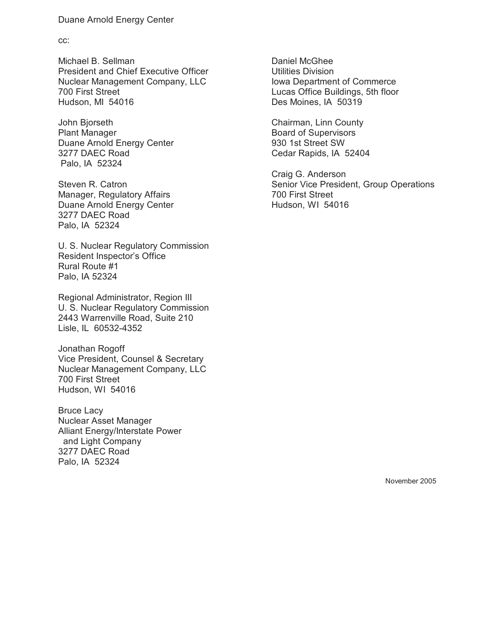## Duane Arnold Energy Center

cc:

Michael B. Sellman President and Chief Executive Officer Nuclear Management Company, LLC 700 First Street Hudson, MI 54016

John Bjorseth Plant Manager Duane Arnold Energy Center 3277 DAEC Road Palo, IA 52324

Steven R. Catron Manager, Regulatory Affairs Duane Arnold Energy Center 3277 DAEC Road Palo, IA 52324

U. S. Nuclear Regulatory Commission Resident Inspector's Office Rural Route #1 Palo, IA 52324

Regional Administrator, Region III U. S. Nuclear Regulatory Commission 2443 Warrenville Road, Suite 210 Lisle, IL 60532-4352

Jonathan Rogoff Vice President, Counsel & Secretary Nuclear Management Company, LLC 700 First Street Hudson, WI 54016

Bruce Lacy Nuclear Asset Manager Alliant Energy/Interstate Power and Light Company 3277 DAEC Road Palo, IA 52324

Daniel McGhee Utilities Division Iowa Department of Commerce Lucas Office Buildings, 5th floor Des Moines, IA 50319

Chairman, Linn County Board of Supervisors 930 1st Street SW Cedar Rapids, IA 52404

Craig G. Anderson Senior Vice President, Group Operations 700 First Street Hudson, WI 54016

November 2005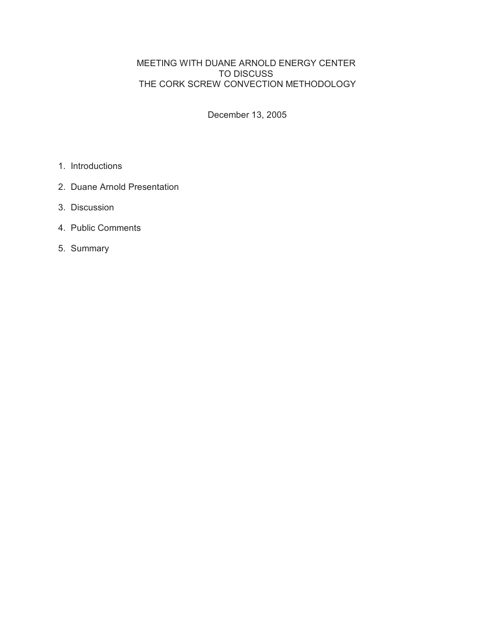MEETING WITH DUANE ARNOLD ENERGY CENTER TO DISCUSS THE CORK SCREW CONVECTION METHODOLOGY

December 13, 2005

- 1. Introductions
- 2. Duane Arnold Presentation
- 3. Discussion
- 4. Public Comments
- 5. Summary